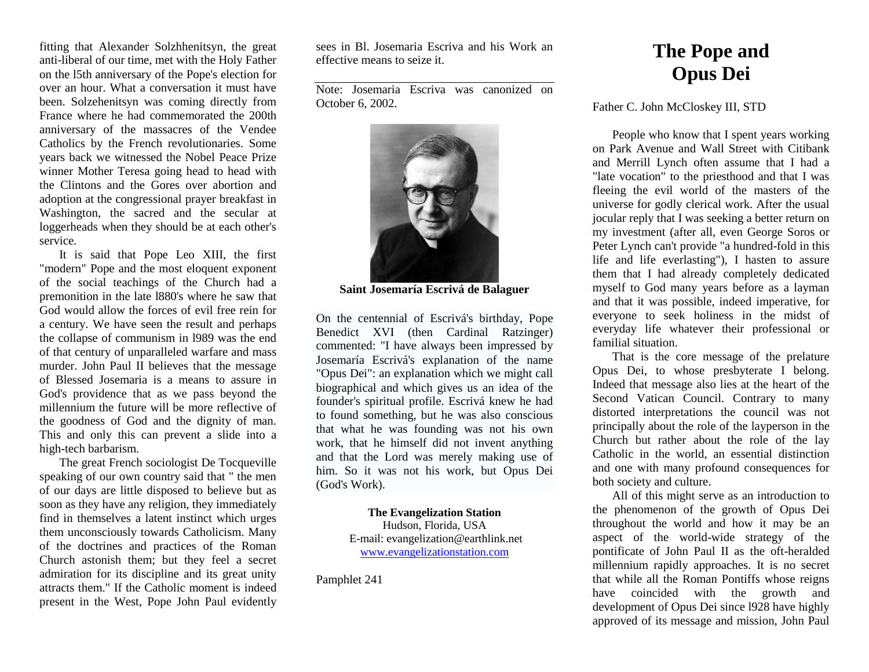fitting that Alexander Solzhhenitsyn, the great anti-liberal of our time, met with the Holy Father on the l5th anniversary of the Pope's election for over an hour. What a conversation it must have been. Solzehenitsyn was coming directly from France where he had commemorated the 200th anniversary of the massacres of the Vendee Catholics by the French revolutionaries. Some years back we witnessed the Nobel Peace Prize winner Mother Teresa going head to head with the Clintons and the Gores over abortion and adoption at the congressional prayer breakfast in Washington, the sacred and the secular at loggerheads when they should be at each other's service.

It is said that Pope Leo XIII, the first "modern" Pope and the most eloquent exponent of the social teachings of the Church had a premonition in the late l880's where he saw that God would allow the forces of evil free rein for a century. We have seen the result and perhaps the collapse of communism in l989 was the end of that century of unparalleled warfare and mass murder. John Paul II believes that the message of Blessed Josemaria is a means to assure in God's providence that as we pass beyond the millennium the future will be more reflective of the goodness of God and the dignity of man. This and only this can prevent a slide into a high-tech barbarism.

The great French sociologist De Tocqueville speaking of our own country said that " the men of our days are little disposed to believe but as soon as they have any religion, they immediately find in themselves a latent instinct which urges them unconsciously towards Catholicism. Many of the doctrines and practices of the Roman Church astonish them; but they feel a secret admiration for its discipline and its great unity attracts them." If the Catholic moment is indeed present in the West, Pope John Paul evidently sees in Bl. Josemaria Escriva and his Work an effective means to seize it.

Note: Josemaria Escriva was canonized on October 6, 2002.



**Saint Josemaría Escrivá de Balaguer** 

On the centennial of Escrivá's birthday, Pope Benedict XVI (then Cardinal Ratzinger) commented: "I have always been impressed by Josemaría Escrivá's explanation of the name "Opus Dei": an explanation which we might call biographical and which gives us an idea of the founder's spiritual profile. Escrivá knew he had to found something, but he was also conscious that what he was founding was not his own work, that he himself did not invent anything and that the Lord was merely making use of him. So it was not his work, but Opus Dei (God's Work).

> **The Evangelization Station** Hudson, Florida, USA E-mail: evangelization@earthlink.net [www.evangelizationstation.com](http://www.pjpiisoe.org/)

Pamphlet 241

## **The Pope and Opus Dei**

## Father C. John McCloskey III, STD

People who know that I spent years working on Park Avenue and Wall Street with Citibank and Merrill Lynch often assume that I had a "late vocation" to the priesthood and that I was fleeing the evil world of the masters of the universe for godly clerical work. After the usual jocular reply that I was seeking a better return on my investment (after all, even George Soros or Peter Lynch can't provide "a hundred-fold in this life and life everlasting"), I hasten to assure them that I had already completely dedicated myself to God many years before as a layman and that it was possible, indeed imperative, for everyone to seek holiness in the midst of everyday life whatever their professional or familial situation.

That is the core message of the prelature Opus Dei, to whose presbyterate I belong. Indeed that message also lies at the heart of the Second Vatican Council. Contrary to many distorted interpretations the council was not principally about the role of the layperson in the Church but rather about the role of the lay Catholic in the world, an essential distinction and one with many profound consequences for both society and culture.

All of this might serve as an introduction to the phenomenon of the growth of Opus Dei throughout the world and how it may be an aspect of the world-wide strategy of the pontificate of John Paul II as the oft-heralded millennium rapidly approaches. It is no secret that while all the Roman Pontiffs whose reigns have coincided with the growth and development of Opus Dei since l928 have highly approved of its message and mission, John Paul